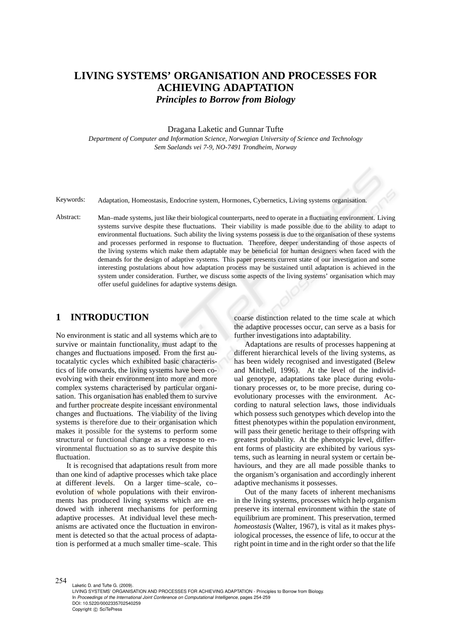# **LIVING SYSTEMS' ORGANISATION AND PROCESSES FOR ACHIEVING ADAPTATION** *Principles to Borrow from Biology*

#### Dragana Laketic and Gunnar Tufte

*Department of Computer and Information Science, Norwegian University of Science and Technology Sem Saelands vei 7-9, NO-7491 Trondheim, Norway*

Keywords: Adaptation, Homeostasis, Endocrine system, Hormones, Cybernetics, Living systems organisation.

Abstract: Man–made systems, just like their biological counterparts, need to operate in a fluctuating environment. Living systems survive despite these fluctuations. Their viability is made possible due to the ability to adapt to environmental fluctuations. Such ability the living systems possess is due to the organisation of these systems and processes performed in response to fluctuation. Therefore, deeper understanding of those aspects of the living systems which make them adaptable may be beneficial for human designers when faced with the demands for the design of adaptive systems. This paper presents current state of our investigation and some interesting postulations about how adaptation process may be sustained until adaptation is achieved in the system under consideration. Further, we discuss some aspects of the living systems' organisation which may offer useful guidelines for adaptive systems design.

### **1 INTRODUCTION**

No environment is static and all systems which are to survive or maintain functionality, must adapt to the changes and fluctuations imposed. From the first autocatalytic cycles which exhibited basic characteristics of life onwards, the living systems have been coevolving with their environment into more and more complex systems characterised by particular organisation. This organisation has enabled them to survive and further procreate despite incessant environmental changes and fluctuations. The viability of the living systems is therefore due to their organisation which makes it possible for the systems to perform some structural or functional change as a response to environmental fluctuation so as to survive despite this fluctuation.

It is recognised that adaptations result from more than one kind of adaptive processes which take place at different levels. On a larger time–scale, co– evolution of whole populations with their environments has produced living systems which are endowed with inherent mechanisms for performing adaptive processes. At individual level these mechanisms are activated once the fluctuation in environment is detected so that the actual process of adaptation is performed at a much smaller time–scale. This coarse distinction related to the time scale at which the adaptive processes occur, can serve as a basis for further investigations into adaptability.

Adaptations are results of processes happening at different hierarchical levels of the living systems, as has been widely recognised and investigated (Belew and Mitchell, 1996). At the level of the individual genotype, adaptations take place during evolutionary processes or, to be more precise, during coevolutionary processes with the environment. According to natural selection laws, those individuals which possess such genotypes which develop into the fittest phenotypes within the population environment, will pass their genetic heritage to their offspring with greatest probability. At the phenotypic level, different forms of plasticity are exhibited by various systems, such as learning in neural system or certain behaviours, and they are all made possible thanks to the organism's organisation and accordingly inherent adaptive mechanisms it possesses.

Out of the many facets of inherent mechanisms in the living systems, processes which help organism preserve its internal environment within the state of equilibrium are prominent. This preservation, termed *homeostasis* (Walter, 1967), is vital as it makes physiological processes, the essence of life, to occur at the right point in time and in the right order so that the life

254

Laketic D. and Tufte G. (2009). LIVING SYSTEMS' ORGANISATION AND PROCESSES FOR ACHIEVING ADAPTATION - Principles to Borrow from Biology. In *Proceedings of the International Joint Conference on Computational Intelligence*, pages 254-259 DOI: 10.5220/0002335702540259 Copyright © SciTePress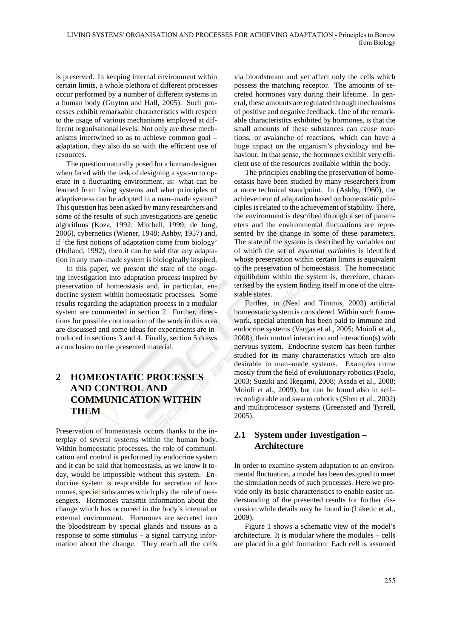is preserved. In keeping internal environment within certain limits, a whole plethora of different processes occur performed by a number of different systems in a human body (Guyton and Hall, 2005). Such processes exhibit remarkable characteristics with respect to the usage of various mechanisms employed at different organisational levels. Not only are these mechanisms intertwined so as to achieve common goal – adaptation, they also do so with the efficient use of resources.

The question naturally posed for a human designer when faced with the task of designing a system to operate in a fluctuating environment, is: what can be learned from living systems and what principles of adaptiveness can be adopted in a man–made system? This question has been asked by many researchers and some of the results of such investigations are genetic algorithms (Koza, 1992; Mitchell, 1999; de Jong, 2006), cybernetics (Wiener, 1948; Ashby, 1957) and, if 'the first notions of adaptation come from biology' (Holland, 1992), then it can be said that any adaptation in any man–made system is biologically inspired.

In this paper, we present the state of the ongoing investigation into adaptation process inspired by preservation of homeostasis and, in particular, endocrine system within homeostatic processes. Some results regarding the adaptation process in a modular system are commented in section 2. Further, directions for possible continuation of the work in this area are discussed and some ideas for experiments are introduced in sections 3 and 4. Finally, section 5 draws a conclusion on the presented material.

## **2 HOMEOSTATIC PROCESSES AND CONTROL AND COMMUNICATION WITHIN THEM**

Preservation of homeostasis occurs thanks to the interplay of several systems within the human body. Within homeostatic processes, the role of communication and control is performed by endocrine system and it can be said that homeostasis, as we know it today, would be impossible without this system. Endocrine system is responsible for secretion of hormones, special substances which play the role of messengers. Hormones transmit information about the change which has occurred in the body's internal or external environment. Hormones are secreted into the bloodstream by special glands and tissues as a response to some stimulus – a signal carrying information about the change. They reach all the cells via bloodstream and yet affect only the cells which possess the matching receptor. The amounts of secreted hormones vary during their lifetime. In general, these amounts are regulated through mechanisms of positive and negative feedback. One of the remarkable characteristics exhibited by hormones, is that the small amounts of these substances can cause reactions, or avalanche of reactions, which can have a huge impact on the organism's physiology and behaviour. In that sense, the hormones exhibit very efficient use of the resources available within the body.

The principles enabling the preservation of homeostasis have been studied by many researchers from a more technical standpoint. In (Ashby, 1960), the achievement of adaptation based on homeostatic principles is related to the achievement of stability. There, the environment is described through a set of parameters and the environmental fluctuations are represented by the change in some of these parameters. The state of the system is described by variables out of which the set of *essential variables* is identified whose preservation within certain limits is equivalent to the preservation of homeostasis. The homeostatic equilibrium within the system is, therefore, characterised by the system finding itself in one of the ultrastable states.

Further, in (Neal and Timmis, 2003) artificial homeostatic system is considered. Within such framework, special attention has been paid to immune and endocrine systems (Vargas et al., 2005; Moioli et al., 2008), their mutual interaction and interaction(s) with nervous system. Endocrine system has been further studied for its many characteristics which are also desirable in man–made systems. Examples come mostly from the field of evolutionary robotics (Paolo, 2003; Suzuki and Ikegami, 2008; Asada et al., 2008; Moioli et al., 2009), but can be found also in self– reconfigurable and swarm robotics (Shen et al., 2002) and multiprocessor systems (Greensted and Tyrrell, 2005).

## **2.1 System under Investigation – Architecture**

In order to examine system adaptation to an environmental fluctuation, a model has been designed to meet the simulation needs of such processes. Here we provide only its basic characteristics to enable easier understanding of the presented results for further discussion while details may be found in (Laketic et al., 2009).

Figure 1 shows a schematic view of the model's architecture. It is modular where the modules – cells are placed in a grid formation. Each cell is assumed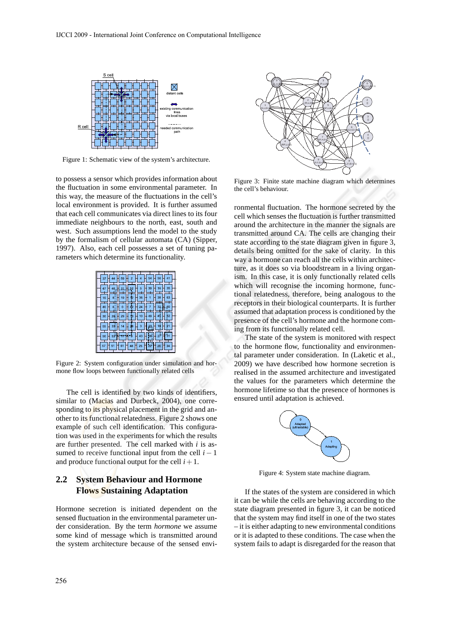

Figure 1: Schematic view of the system's architecture.

to possess a sensor which provides information about the fluctuation in some environmental parameter. In this way, the measure of the fluctuations in the cell's local environment is provided. It is further assumed that each cell communicates via direct lines to its four immediate neighbours to the north, east, south and west. Such assumptions lend the model to the study by the formalism of cellular automata (CA) (Sipper, 1997). Also, each cell possesses a set of tuning parameters which determine its functionality.



Figure 2: System configuration under simulation and hormone flow loops between functionally related cells

The cell is identified by two kinds of identifiers, similar to (Macias and Durbeck, 2004), one corresponding to its physical placement in the grid and another to its functional relatedness. Figure 2 shows one example of such cell identification. This configuration was used in the experiments for which the results are further presented. The cell marked with *i* is assumed to receive functional input from the cell  $i - 1$ and produce functional output for the cell  $i+1$ .

## **2.2 System Behaviour and Hormone Flows Sustaining Adaptation**

Hormone secretion is initiated dependent on the sensed fluctuation in the environmental parameter under consideration. By the term *hormone* we assume some kind of message which is transmitted around the system architecture because of the sensed envi-



Figure 3: Finite state machine diagram which determines the cell's behaviour.

ronmental fluctuation. The hormone secreted by the cell which senses the fluctuation is further transmitted around the architecture in the manner the signals are transmitted around CA. The cells are changing their state according to the state diagram given in figure 3, details being omitted for the sake of clarity. In this way a hormone can reach all the cells within architecture, as it does so via bloodstream in a living organism. In this case, it is only functionally related cells which will recognise the incoming hormone, functional relatedness, therefore, being analogous to the receptors in their biological counterparts. It is further assumed that adaptation process is conditioned by the presence of the cell's hormone and the hormone coming from its functionally related cell.

The state of the system is monitored with respect to the hormone flow, functionality and environmental parameter under consideration. In (Laketic et al., 2009) we have described how hormone secretion is realised in the assumed architecture and investigated the values for the parameters which determine the hormone lifetime so that the presence of hormones is ensured until adaptation is achieved.



Figure 4: System state machine diagram.

If the states of the system are considered in which it can be while the cells are behaving according to the state diagram presented in figure 3, it can be noticed that the system may find itself in one of the two states – it is either adapting to new environmental conditions or it is adapted to these conditions. The case when the system fails to adapt is disregarded for the reason that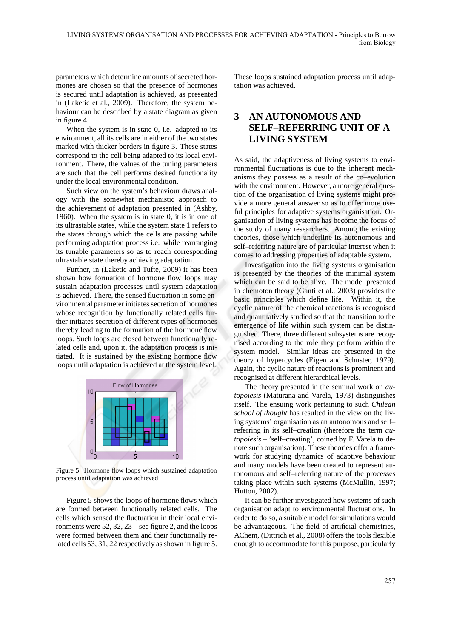parameters which determine amounts of secreted hormones are chosen so that the presence of hormones is secured until adaptation is achieved, as presented in (Laketic et al., 2009). Therefore, the system behaviour can be described by a state diagram as given in figure 4.

When the system is in state 0, i.e. adapted to its environment, all its cells are in either of the two states marked with thicker borders in figure 3. These states correspond to the cell being adapted to its local environment. There, the values of the tuning parameters are such that the cell performs desired functionality under the local environmental condition.

Such view on the system's behaviour draws analogy with the somewhat mechanistic approach to the achievement of adaptation presented in (Ashby, 1960). When the system is in state 0, it is in one of its ultrastable states, while the system state 1 refers to the states through which the cells are passing while performing adaptation process i.e. while rearranging its tunable parameters so as to reach corresponding ultrastable state thereby achieving adaptation.

Further, in (Laketic and Tufte, 2009) it has been shown how formation of hormone flow loops may sustain adaptation processes until system adaptation is achieved. There, the sensed fluctuation in some environmental parameter initiates secretion of hormones whose recognition by functionally related cells further initiates secretion of different types of hormones thereby leading to the formation of the hormone flow loops. Such loops are closed between functionally related cells and, upon it, the adaptation process is initiated. It is sustained by the existing hormone flow loops until adaptation is achieved at the system level.



Figure 5: Hormone flow loops which sustained adaptation process until adaptation was achieved

Figure 5 shows the loops of hormone flows which are formed between functionally related cells. The cells which sensed the fluctuation in their local environments were  $52$ ,  $32$ ,  $23$  – see figure 2, and the loops were formed between them and their functionally related cells 53, 31, 22 respectively as shown in figure 5. These loops sustained adaptation process until adaptation was achieved.

## **3 AN AUTONOMOUS AND SELF–REFERRING UNIT OF A LIVING SYSTEM**

As said, the adaptiveness of living systems to environmental fluctuations is due to the inherent mechanisms they possess as a result of the co–evolution with the environment. However, a more general question of the organisation of living systems might provide a more general answer so as to offer more useful principles for adaptive systems organisation. Organisation of living systems has become the focus of the study of many researchers. Among the existing theories, those which underline its autonomous and self–referring nature are of particular interest when it comes to addressing properties of adaptable system.

Investigation into the living systems organisation is presented by the theories of the minimal system which can be said to be alive. The model presented in chemoton theory (Ganti et al., 2003) provides the basic principles which define life. Within it, the cyclic nature of the chemical reactions is recognised and quantitatively studied so that the transition to the emergence of life within such system can be distinguished. There, three different subsystems are recognised according to the role they perform within the system model. Similar ideas are presented in the theory of hypercycles (Eigen and Schuster, 1979). Again, the cyclic nature of reactions is prominent and recognised at different hierarchical levels.

The theory presented in the seminal work on *autopoiesis* (Maturana and Varela, 1973) distinguishes itself. The ensuing work pertaining to such *Chilean school of thought* has resulted in the view on the living systems' organisation as an autonomous and self– referring in its self–creation (therefore the term *autopoiesis* – 'self–creating', coined by F. Varela to denote such organisation). These theories offer a framework for studying dynamics of adaptive behaviour and many models have been created to represent autonomous and self–referring nature of the processes taking place within such systems (McMullin, 1997; Hutton, 2002).

It can be further investigated how systems of such organisation adapt to environmental fluctuations. In order to do so, a suitable model for simulations would be advantageous. The field of artificial chemistries, AChem, (Dittrich et al., 2008) offers the tools flexible enough to accommodate for this purpose, particularly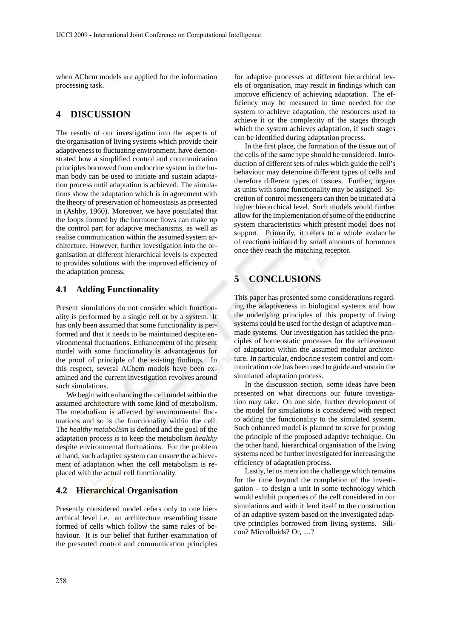when AChem models are applied for the information processing task.

### **4 DISCUSSION**

The results of our investigation into the aspects of the organisation of living systems which provide their adaptiveness to fluctuating environment, have demonstrated how a simplified control and communication principles borrowed from endocrine system in the human body can be used to initiate and sustain adaptation process until adaptation is achieved. The simulations show the adaptation which is in agreement with the theory of preservation of homeostasis as presented in (Ashby, 1960). Moreover, we have postulated that the loops formed by the hormone flows can make up the control part for adaptive mechanisms, as well as realise communication within the assumed system architecture. However, further investigation into the organisation at different hierarchical levels is expected to provides solutions with the improved efficiency of the adaptation process.

#### **4.1 Adding Functionality**

Present simulations do not consider which functionality is performed by a single cell or by a system. It has only been assumed that some functionality is performed and that it needs to be maintained despite environmental fluctuations. Enhancement of the present model with some functionality is advantageous for the proof of principle of the existing findings. In this respect, several AChem models have been examined and the current investigation revolves around such simulations.

We begin with enhancing the cell model within the assumed architecture with some kind of metabolism. The metabolism is affected by environmental fluctuations and so is the functionality within the cell. The *healthy metabolism* is defined and the goal of the adaptation process is to keep the metabolism *healthy* despite environmental fluctuations. For the problem at hand, such adaptive system can ensure the achievement of adaptation when the cell metabolism is replaced with the actual cell functionality.

#### **4.2 Hierarchical Organisation**

Presently considered model refers only to one hierarchical level i.e. an architecture resembling tissue formed of cells which follow the same rules of behaviour. It is our belief that further examination of the presented control and communication principles for adaptive processes at different hierarchical levels of organisation, may result in findings which can improve efficiency of achieving adaptation. The efficiency may be measured in time needed for the system to achieve adaptation, the resources used to achieve it or the complexity of the stages through which the system achieves adaptation, if such stages can be identified during adaptation process.

In the first place, the formation of the tissue out of the cells of the same type should be considered. Introduction of different sets of rules which guide the cell's behaviour may determine different types of cells and therefore different types of tissues. Further, organs as units with some functionality may be assigned. Secretion of control messengers can then be initiated at a higher hierarchical level. Such models would further allow for the implementation of some of the endocrine system characteristics which present model does not support. Primarily, it refers to a whole avalanche of reactions initiated by small amounts of hormones once they reach the matching receptor.

## **5 CONCLUSIONS**

This paper has presented some considerations regarding the adaptiveness in biological systems and how the underlying principles of this property of living systems could be used for the design of adaptive man– made systems. Our investigation has tackled the principles of homeostatic processes for the achievement of adaptation within the assumed modular architecture. In particular, endocrine system control and communication role has been used to guide and sustain the simulated adaptation process.

In the discussion section, some ideas have been presented on what directions our future investigation may take. On one side, further development of the model for simulations is considered with respect to adding the functionality to the simulated system. Such enhanced model is planned to serve for proving the principle of the proposed adaptive technique. On the other hand, hierarchical organisation of the living systems need be further investigated for increasing the efficiency of adaptation process.

Lastly, let us mention the challenge which remains for the time beyond the completion of the investigation – to design a unit in some technology which would exhibit properties of the cell considered in our simulations and with it lend itself to the construction of an adaptive system based on the investigated adaptive principles borrowed from living systems. Silicon? Microfluids? Or, ....?